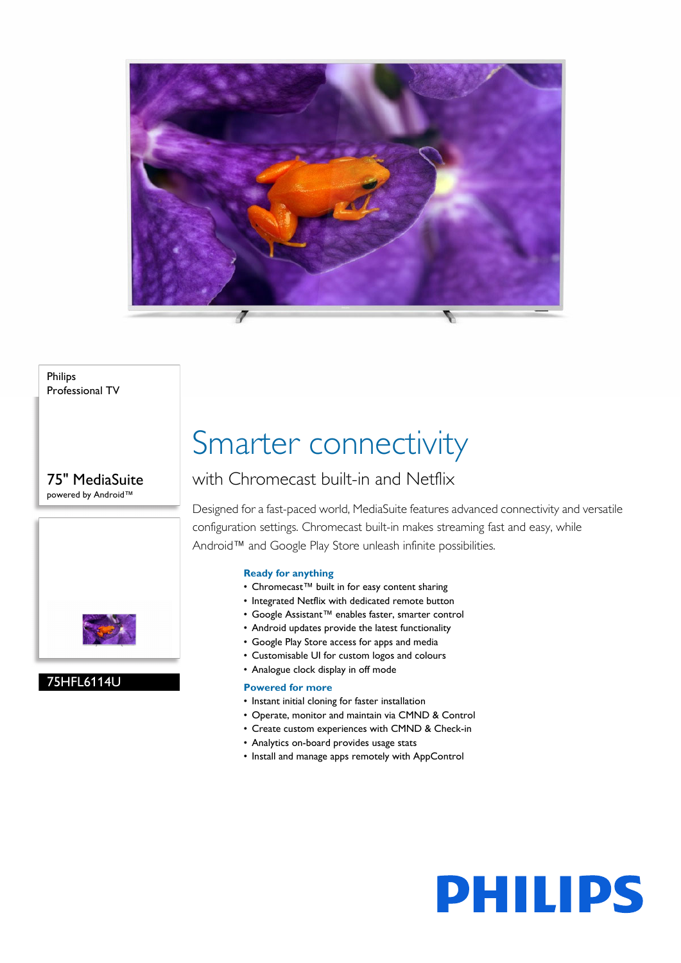

### Philips Professional TV

## 75" MediaSuite powered by Android™



# 75HFL6114U

# Smarter connectivity

# with Chromecast built-in and Netflix

Designed for a fast-paced world, MediaSuite features advanced connectivity and versatile configuration settings. Chromecast built-in makes streaming fast and easy, while Android™ and Google Play Store unleash infinite possibilities.

### **Ready for anything**

- Chromecast™ built in for easy content sharing
- Integrated Netflix with dedicated remote button
- Google Assistant™ enables faster, smarter control
- Android updates provide the latest functionality
- Google Play Store access for apps and media
- Customisable UI for custom logos and colours
- Analogue clock display in off mode

### **Powered for more**

- Instant initial cloning for faster installation
- Operate, monitor and maintain via CMND & Control
- Create custom experiences with CMND & Check-in
- Analytics on-board provides usage stats
- Install and manage apps remotely with AppControl

# **PHILIPS**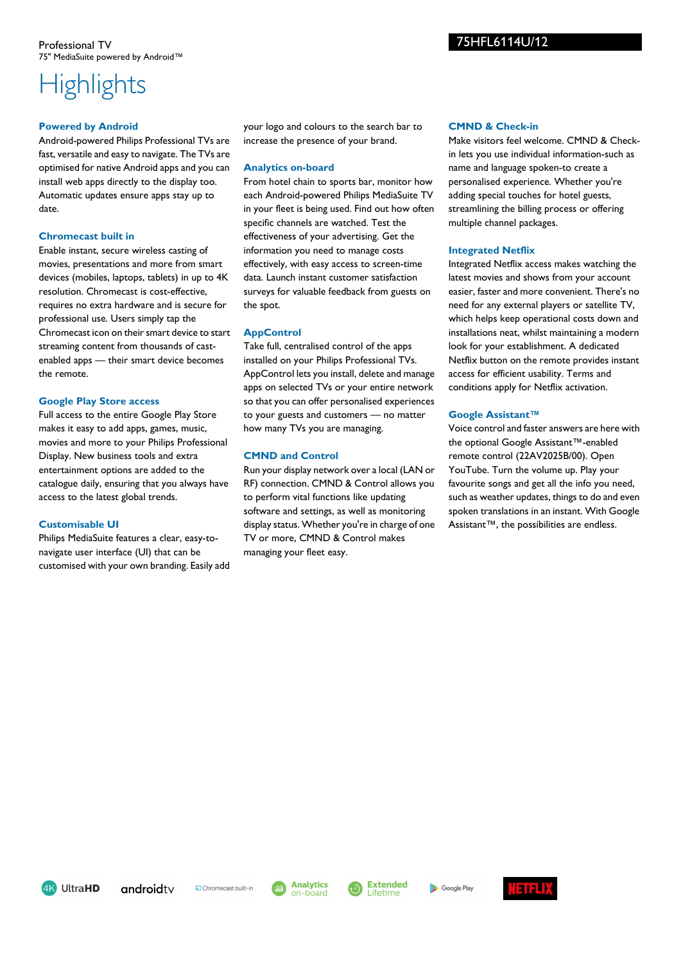# **Highlights**

### **Powered by Android**

Android-powered Philips Professional TVs are fast, versatile and easy to navigate. The TVs are optimised for native Android apps and you can install web apps directly to the display too. Automatic updates ensure apps stay up to date.

### **Chromecast built in**

Enable instant, secure wireless casting of movies, presentations and more from smart devices (mobiles, laptops, tablets) in up to 4K resolution. Chromecast is cost-effective, requires no extra hardware and is secure for professional use. Users simply tap the Chromecast icon on their smart device to start streaming content from thousands of castenabled apps — their smart device becomes the remote.

### **Google Play Store access**

Full access to the entire Google Play Store makes it easy to add apps, games, music, movies and more to your Philips Professional Display. New business tools and extra entertainment options are added to the catalogue daily, ensuring that you always have access to the latest global trends.

### **Customisable UI**

Philips MediaSuite features a clear, easy-tonavigate user interface (UI) that can be customised with your own branding. Easily add your logo and colours to the search bar to increase the presence of your brand.

### **Analytics on-board**

From hotel chain to sports bar, monitor how each Android-powered Philips MediaSuite TV in your fleet is being used. Find out how often specific channels are watched. Test the effectiveness of your advertising. Get the information you need to manage costs effectively, with easy access to screen-time data. Launch instant customer satisfaction surveys for valuable feedback from guests on the spot.

### **AppControl**

Take full, centralised control of the apps installed on your Philips Professional TVs. AppControl lets you install, delete and manage apps on selected TVs or your entire network so that you can offer personalised experiences to your guests and customers — no matter how many TVs you are managing.

### **CMND and Control**

Run your display network over a local (LAN or RF) connection. CMND & Control allows you to perform vital functions like updating software and settings, as well as monitoring display status. Whether you're in charge of one TV or more, CMND & Control makes managing your fleet easy.

### **CMND & Check-in**

Make visitors feel welcome. CMND & Checkin lets you use individual information-such as name and language spoken-to create a personalised experience. Whether you're adding special touches for hotel guests, streamlining the billing process or offering multiple channel packages.

### **Integrated Netflix**

Integrated Netflix access makes watching the latest movies and shows from your account easier, faster and more convenient. There's no need for any external players or satellite TV, which helps keep operational costs down and installations neat, whilst maintaining a modern look for your establishment. A dedicated Netflix button on the remote provides instant access for efficient usability. Terms and conditions apply for Netflix activation.

### **Google Assistant™**

Voice control and faster answers are here with the optional Google Assistant™-enabled remote control (22AV2025B/00). Open YouTube. Turn the volume up. Play your favourite songs and get all the info you need, such as weather updates, things to do and even spoken translations in an instant. With Google Assistant™, the possibilities are endless.

4K UltraHD



Chromecast built-in